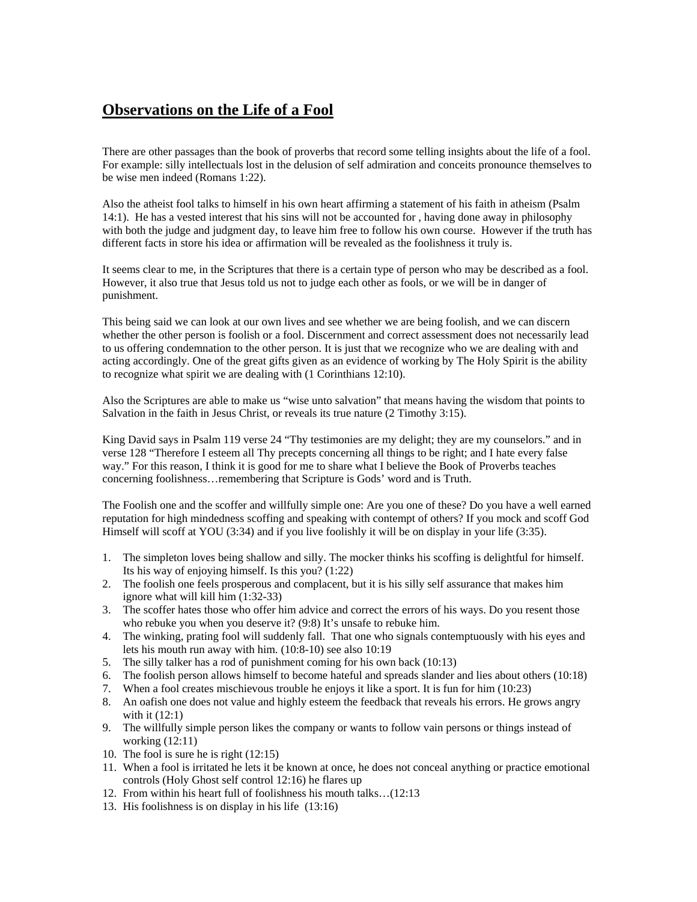## **Observations on the Life of a Fool**

There are other passages than the book of proverbs that record some telling insights about the life of a fool. For example: silly intellectuals lost in the delusion of self admiration and conceits pronounce themselves to be wise men indeed (Romans 1:22).

Also the atheist fool talks to himself in his own heart affirming a statement of his faith in atheism (Psalm 14:1). He has a vested interest that his sins will not be accounted for , having done away in philosophy with both the judge and judgment day, to leave him free to follow his own course. However if the truth has different facts in store his idea or affirmation will be revealed as the foolishness it truly is.

It seems clear to me, in the Scriptures that there is a certain type of person who may be described as a fool. However, it also true that Jesus told us not to judge each other as fools, or we will be in danger of punishment.

This being said we can look at our own lives and see whether we are being foolish, and we can discern whether the other person is foolish or a fool. Discernment and correct assessment does not necessarily lead to us offering condemnation to the other person. It is just that we recognize who we are dealing with and acting accordingly. One of the great gifts given as an evidence of working by The Holy Spirit is the ability to recognize what spirit we are dealing with (1 Corinthians 12:10).

Also the Scriptures are able to make us "wise unto salvation" that means having the wisdom that points to Salvation in the faith in Jesus Christ, or reveals its true nature (2 Timothy 3:15).

King David says in Psalm 119 verse 24 "Thy testimonies are my delight; they are my counselors." and in verse 128 "Therefore I esteem all Thy precepts concerning all things to be right; and I hate every false way." For this reason, I think it is good for me to share what I believe the Book of Proverbs teaches concerning foolishness…remembering that Scripture is Gods' word and is Truth.

The Foolish one and the scoffer and willfully simple one: Are you one of these? Do you have a well earned reputation for high mindedness scoffing and speaking with contempt of others? If you mock and scoff God Himself will scoff at YOU (3:34) and if you live foolishly it will be on display in your life (3:35).

- 1. The simpleton loves being shallow and silly. The mocker thinks his scoffing is delightful for himself. Its his way of enjoying himself. Is this you? (1:22)
- 2. The foolish one feels prosperous and complacent, but it is his silly self assurance that makes him ignore what will kill him (1:32-33)
- 3. The scoffer hates those who offer him advice and correct the errors of his ways. Do you resent those who rebuke you when you deserve it? (9:8) It's unsafe to rebuke him.
- 4. The winking, prating fool will suddenly fall. That one who signals contemptuously with his eyes and lets his mouth run away with him. (10:8-10) see also 10:19
- 5. The silly talker has a rod of punishment coming for his own back (10:13)
- 6. The foolish person allows himself to become hateful and spreads slander and lies about others (10:18)
- 7. When a fool creates mischievous trouble he enjoys it like a sport. It is fun for him (10:23)
- 8. An oafish one does not value and highly esteem the feedback that reveals his errors. He grows angry with it  $(12:1)$
- 9. The willfully simple person likes the company or wants to follow vain persons or things instead of working (12:11)
- 10. The fool is sure he is right (12:15)
- 11. When a fool is irritated he lets it be known at once, he does not conceal anything or practice emotional controls (Holy Ghost self control 12:16) he flares up
- 12. From within his heart full of foolishness his mouth talks…(12:13
- 13. His foolishness is on display in his life (13:16)